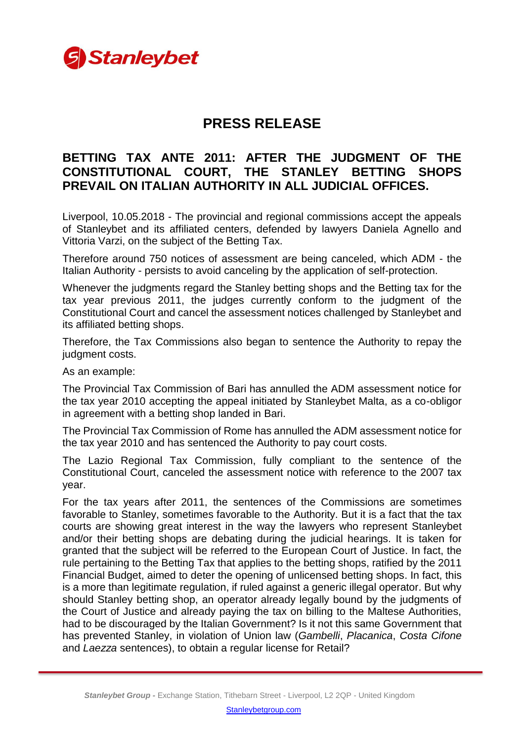

## **PRESS RELEASE**

## **BETTING TAX ANTE 2011: AFTER THE JUDGMENT OF THE CONSTITUTIONAL COURT, THE STANLEY BETTING SHOPS PREVAIL ON ITALIAN AUTHORITY IN ALL JUDICIAL OFFICES.**

Liverpool, 10.05.2018 - The provincial and regional commissions accept the appeals of Stanleybet and its affiliated centers, defended by lawyers Daniela Agnello and Vittoria Varzi, on the subject of the Betting Tax.

Therefore around 750 notices of assessment are being canceled, which ADM - the Italian Authority - persists to avoid canceling by the application of self-protection.

Whenever the judgments regard the Stanley betting shops and the Betting tax for the tax year previous 2011, the judges currently conform to the judgment of the Constitutional Court and cancel the assessment notices challenged by Stanleybet and its affiliated betting shops.

Therefore, the Tax Commissions also began to sentence the Authority to repay the judgment costs.

As an example:

The Provincial Tax Commission of Bari has annulled the ADM assessment notice for the tax year 2010 accepting the appeal initiated by Stanleybet Malta, as a co-obligor in agreement with a betting shop landed in Bari.

The Provincial Tax Commission of Rome has annulled the ADM assessment notice for the tax year 2010 and has sentenced the Authority to pay court costs.

The Lazio Regional Tax Commission, fully compliant to the sentence of the Constitutional Court, canceled the assessment notice with reference to the 2007 tax year.

For the tax years after 2011, the sentences of the Commissions are sometimes favorable to Stanley, sometimes favorable to the Authority. But it is a fact that the tax courts are showing great interest in the way the lawyers who represent Stanleybet and/or their betting shops are debating during the judicial hearings. It is taken for granted that the subject will be referred to the European Court of Justice. In fact, the rule pertaining to the Betting Tax that applies to the betting shops, ratified by the 2011 Financial Budget, aimed to deter the opening of unlicensed betting shops. In fact, this is a more than legitimate regulation, if ruled against a generic illegal operator. But why should Stanley betting shop, an operator already legally bound by the judgments of the Court of Justice and already paying the tax on billing to the Maltese Authorities, had to be discouraged by the Italian Government? Is it not this same Government that has prevented Stanley, in violation of Union law (*Gambelli*, *Placanica*, *Costa Cifone* and *Laezza* sentences), to obtain a regular license for Retail?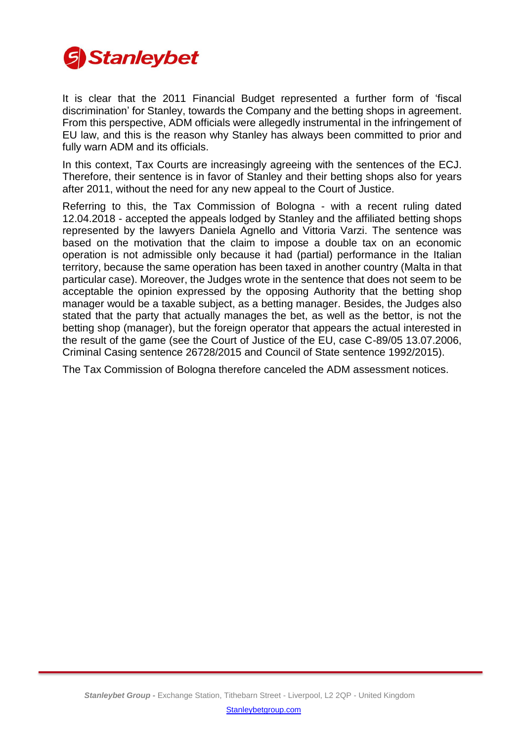

It is clear that the 2011 Financial Budget represented a further form of 'fiscal discrimination' for Stanley, towards the Company and the betting shops in agreement. From this perspective, ADM officials were allegedly instrumental in the infringement of EU law, and this is the reason why Stanley has always been committed to prior and fully warn ADM and its officials.

In this context, Tax Courts are increasingly agreeing with the sentences of the ECJ. Therefore, their sentence is in favor of Stanley and their betting shops also for years after 2011, without the need for any new appeal to the Court of Justice.

Referring to this, the Tax Commission of Bologna - with a recent ruling dated 12.04.2018 - accepted the appeals lodged by Stanley and the affiliated betting shops represented by the lawyers Daniela Agnello and Vittoria Varzi. The sentence was based on the motivation that the claim to impose a double tax on an economic operation is not admissible only because it had (partial) performance in the Italian territory, because the same operation has been taxed in another country (Malta in that particular case). Moreover, the Judges wrote in the sentence that does not seem to be acceptable the opinion expressed by the opposing Authority that the betting shop manager would be a taxable subject, as a betting manager. Besides, the Judges also stated that the party that actually manages the bet, as well as the bettor, is not the betting shop (manager), but the foreign operator that appears the actual interested in the result of the game (see the Court of Justice of the EU, case C-89/05 13.07.2006, Criminal Casing sentence 26728/2015 and Council of State sentence 1992/2015).

The Tax Commission of Bologna therefore canceled the ADM assessment notices.

[Stanleybetgroup.com](http://www.stanleybetgroup.com/)